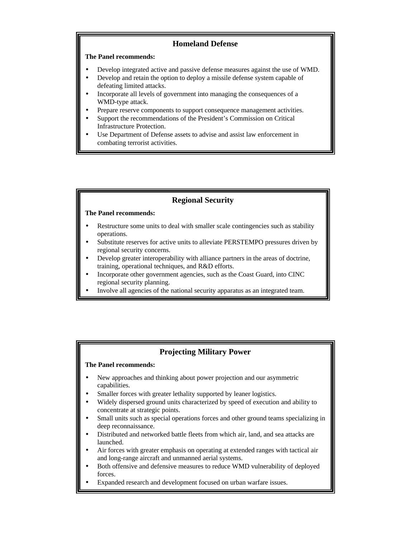## **Homeland Defense**

#### **The Panel recommends:**

- Develop integrated active and passive defense measures against the use of WMD.
- Develop and retain the option to deploy a missile defense system capable of defeating limited attacks.
- Incorporate all levels of government into managing the consequences of a WMD-type attack.
- Prepare reserve components to support consequence management activities.
- Support the recommendations of the President's Commission on Critical Infrastructure Protection.
- Use Department of Defense assets to advise and assist law enforcement in combating terrorist activities.

# **Regional Security**

#### **The Panel recommends:**

- Restructure some units to deal with smaller scale contingencies such as stability operations.
- Substitute reserves for active units to alleviate PERSTEMPO pressures driven by regional security concerns.
- Develop greater interoperability with alliance partners in the areas of doctrine, training, operational techniques, and R&D efforts.
- Incorporate other government agencies, such as the Coast Guard, into CINC regional security planning.
- Involve all agencies of the national security apparatus as an integrated team.

## **Projecting Military Power**

- New approaches and thinking about power projection and our asymmetric capabilities.
- Smaller forces with greater lethality supported by leaner logistics.
- Widely dispersed ground units characterized by speed of execution and ability to concentrate at strategic points.
- Small units such as special operations forces and other ground teams specializing in deep reconnaissance.
- Distributed and networked battle fleets from which air, land, and sea attacks are launched.
- Air forces with greater emphasis on operating at extended ranges with tactical air and long-range aircraft and unmanned aerial systems.
- Both offensive and defensive measures to reduce WMD vulnerability of deployed forces.
- Expanded research and development focused on urban warfare issues.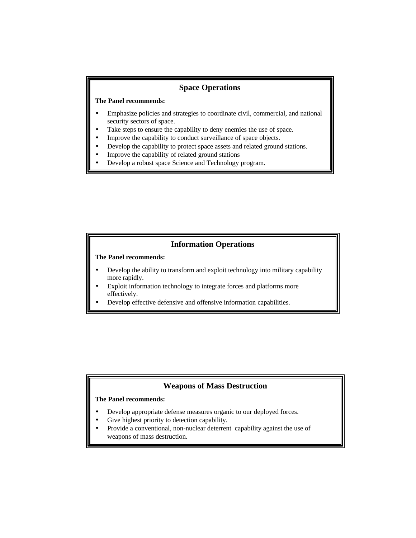## **Space Operations**

#### **The Panel recommends:**

- Emphasize policies and strategies to coordinate civil, commercial, and national security sectors of space.
- Take steps to ensure the capability to deny enemies the use of space.
- Improve the capability to conduct surveillance of space objects.
- Develop the capability to protect space assets and related ground stations.
- Improve the capability of related ground stations
- Develop a robust space Science and Technology program.

## **Information Operations**

### **The Panel recommends:**

- Develop the ability to transform and exploit technology into military capability more rapidly.
- Exploit information technology to integrate forces and platforms more effectively.
- Develop effective defensive and offensive information capabilities.

### **Weapons of Mass Destruction**

- Develop appropriate defense measures organic to our deployed forces.
- Give highest priority to detection capability.
- Provide a conventional, non-nuclear deterrent capability against the use of weapons of mass destruction.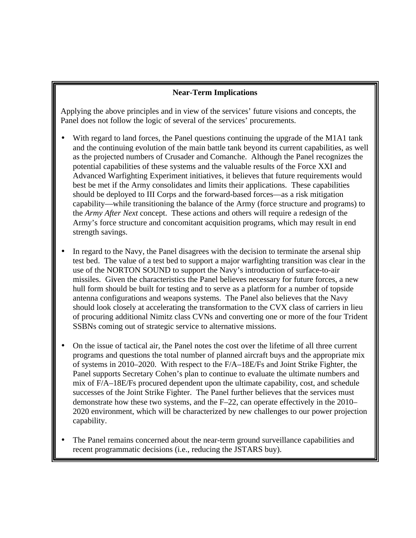# **Near-Term Implications**

Applying the above principles and in view of the services' future visions and concepts, the Panel does not follow the logic of several of the services' procurements.

- With regard to land forces, the Panel questions continuing the upgrade of the M1A1 tank and the continuing evolution of the main battle tank beyond its current capabilities, as well as the projected numbers of Crusader and Comanche. Although the Panel recognizes the potential capabilities of these systems and the valuable results of the Force XXI and Advanced Warfighting Experiment initiatives, it believes that future requirements would best be met if the Army consolidates and limits their applications. These capabilities should be deployed to III Corps and the forward-based forces—as a risk mitigation capability—while transitioning the balance of the Army (force structure and programs) to the *Army After Next* concept. These actions and others will require a redesign of the Army's force structure and concomitant acquisition programs, which may result in end strength savings.
- In regard to the Navy, the Panel disagrees with the decision to terminate the arsenal ship test bed. The value of a test bed to support a major warfighting transition was clear in the use of the NORTON SOUND to support the Navy's introduction of surface-to-air missiles. Given the characteristics the Panel believes necessary for future forces, a new hull form should be built for testing and to serve as a platform for a number of topside antenna configurations and weapons systems. The Panel also believes that the Navy should look closely at accelerating the transformation to the CVX class of carriers in lieu of procuring additional Nimitz class CVNs and converting one or more of the four Trident SSBNs coming out of strategic service to alternative missions.
- On the issue of tactical air, the Panel notes the cost over the lifetime of all three current programs and questions the total number of planned aircraft buys and the appropriate mix of systems in 2010–2020. With respect to the F/A–18E/Fs and Joint Strike Fighter, the Panel supports Secretary Cohen's plan to continue to evaluate the ultimate numbers and mix of F/A–18E/Fs procured dependent upon the ultimate capability, cost, and schedule successes of the Joint Strike Fighter. The Panel further believes that the services must demonstrate how these two systems, and the F–22, can operate effectively in the 2010– 2020 environment, which will be characterized by new challenges to our power projection capability.
- The Panel remains concerned about the near-term ground surveillance capabilities and recent programmatic decisions (i.e., reducing the JSTARS buy).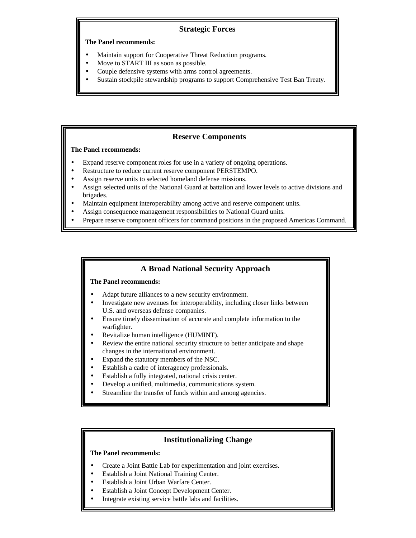# **Strategic Forces**

### **The Panel recommends:**

- Maintain support for Cooperative Threat Reduction programs.
- Move to START III as soon as possible.
- Couple defensive systems with arms control agreements.
- Sustain stockpile stewardship programs to support Comprehensive Test Ban Treaty.

# **Reserve Components**

## **The Panel recommends:**

- Expand reserve component roles for use in a variety of ongoing operations.
- Restructure to reduce current reserve component PERSTEMPO.
- Assign reserve units to selected homeland defense missions.
- Assign selected units of the National Guard at battalion and lower levels to active divisions and brigades.
- Maintain equipment interoperability among active and reserve component units.
- Assign consequence management responsibilities to National Guard units.
- Prepare reserve component officers for command positions in the proposed Americas Command.

## **A Broad National Security Approach**

#### **The Panel recommends:**

- Adapt future alliances to a new security environment.
- Investigate new avenues for interoperability, including closer links between U.S. and overseas defense companies.
- Ensure timely dissemination of accurate and complete information to the warfighter.
- Revitalize human intelligence (HUMINT).
- Review the entire national security structure to better anticipate and shape changes in the international environment.
- Expand the statutory members of the NSC.
- Establish a cadre of interagency professionals.
- Establish a fully integrated, national crisis center.
- Develop a unified, multimedia, communications system.
- Streamline the transfer of funds within and among agencies.

## **Institutionalizing Change**

- Create a Joint Battle Lab for experimentation and joint exercises.
- Establish a Joint National Training Center.
- Establish a Joint Urban Warfare Center.
- Establish a Joint Concept Development Center.
- Integrate existing service battle labs and facilities.